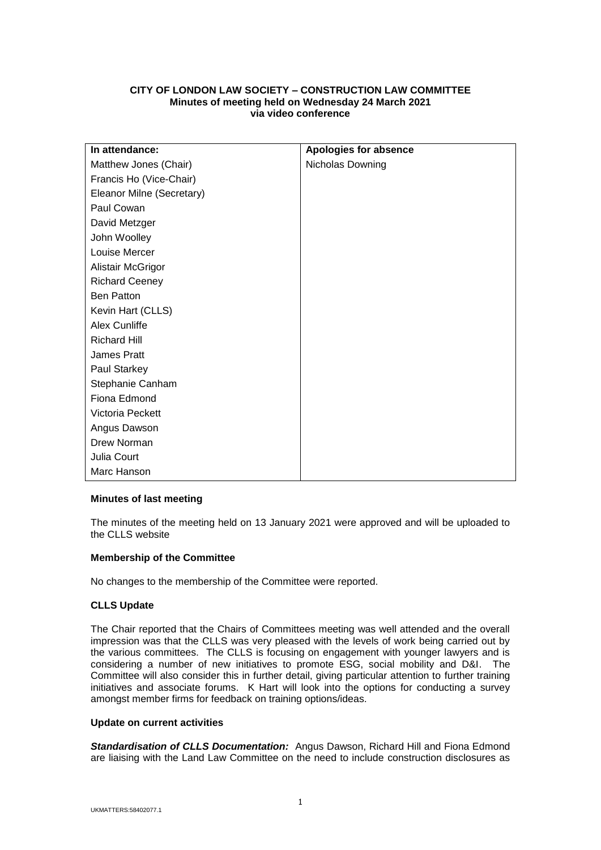# **CITY OF LONDON LAW SOCIETY – CONSTRUCTION LAW COMMITTEE Minutes of meeting held on Wednesday 24 March 2021 via video conference**

| In attendance:            | <b>Apologies for absence</b> |
|---------------------------|------------------------------|
| Matthew Jones (Chair)     | Nicholas Downing             |
| Francis Ho (Vice-Chair)   |                              |
| Eleanor Milne (Secretary) |                              |
| Paul Cowan                |                              |
| David Metzger             |                              |
| John Woolley              |                              |
| Louise Mercer             |                              |
| Alistair McGrigor         |                              |
| <b>Richard Ceeney</b>     |                              |
| <b>Ben Patton</b>         |                              |
| Kevin Hart (CLLS)         |                              |
| Alex Cunliffe             |                              |
| <b>Richard Hill</b>       |                              |
| James Pratt               |                              |
| Paul Starkey              |                              |
| Stephanie Canham          |                              |
| Fiona Edmond              |                              |
| Victoria Peckett          |                              |
| Angus Dawson              |                              |
| Drew Norman               |                              |
| Julia Court               |                              |
| Marc Hanson               |                              |

## **Minutes of last meeting**

The minutes of the meeting held on 13 January 2021 were approved and will be uploaded to the CLLS website

## **Membership of the Committee**

No changes to the membership of the Committee were reported.

## **CLLS Update**

The Chair reported that the Chairs of Committees meeting was well attended and the overall impression was that the CLLS was very pleased with the levels of work being carried out by the various committees. The CLLS is focusing on engagement with younger lawyers and is considering a number of new initiatives to promote ESG, social mobility and D&I. The Committee will also consider this in further detail, giving particular attention to further training initiatives and associate forums. K Hart will look into the options for conducting a survey amongst member firms for feedback on training options/ideas.

## **Update on current activities**

*Standardisation of CLLS Documentation:* Angus Dawson, Richard Hill and Fiona Edmond are liaising with the Land Law Committee on the need to include construction disclosures as